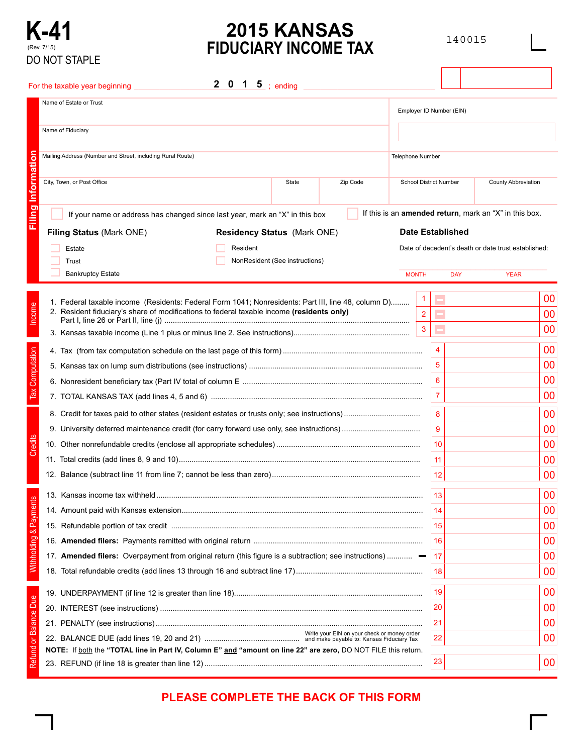

# **K-41 2015 KANSAS FIDUCIARY INCOME TAX** 140015

|                        |                                                                                                                                                                                                  | 2 0 1 5 ; ending                   |  |                         |     |                          |                         |            |    |                                                                |    |
|------------------------|--------------------------------------------------------------------------------------------------------------------------------------------------------------------------------------------------|------------------------------------|--|-------------------------|-----|--------------------------|-------------------------|------------|----|----------------------------------------------------------------|----|
|                        | For the taxable year beginning                                                                                                                                                                   |                                    |  |                         |     |                          |                         |            |    |                                                                |    |
|                        | Name of Estate or Trust                                                                                                                                                                          |                                    |  |                         |     | Employer ID Number (EIN) |                         |            |    |                                                                |    |
|                        | Name of Fiduciary                                                                                                                                                                                |                                    |  |                         |     |                          |                         |            |    |                                                                |    |
|                        | Mailing Address (Number and Street, including Rural Route)                                                                                                                                       |                                    |  | <b>Telephone Number</b> |     |                          |                         |            |    |                                                                |    |
|                        | City, Town, or Post Office                                                                                                                                                                       | State                              |  | Zip Code                |     |                          | School District Number  |            |    | County Abbreviation                                            |    |
|                        |                                                                                                                                                                                                  |                                    |  |                         |     |                          |                         |            |    |                                                                |    |
| Filing Information     | If your name or address has changed since last year, mark an "X" in this box                                                                                                                     |                                    |  |                         |     |                          |                         |            |    | If this is an <b>amended return</b> , mark an "X" in this box. |    |
|                        | Filing Status (Mark ONE)                                                                                                                                                                         | <b>Residency Status (Mark ONE)</b> |  |                         |     |                          | <b>Date Established</b> |            |    |                                                                |    |
|                        | Estate                                                                                                                                                                                           | Resident                           |  |                         |     |                          |                         |            |    | Date of decedent's death or date trust established:            |    |
|                        | Trust                                                                                                                                                                                            | NonResident (See instructions)     |  |                         |     |                          |                         |            |    |                                                                |    |
|                        | <b>Bankruptcy Estate</b>                                                                                                                                                                         |                                    |  |                         |     | <b>MONTH</b>             |                         | <b>DAY</b> |    | <b>YEAR</b>                                                    |    |
|                        |                                                                                                                                                                                                  |                                    |  |                         |     |                          |                         |            |    |                                                                | 00 |
|                        | 1. Federal taxable income (Residents: Federal Form 1041; Nonresidents: Part III, line 48, column D)<br>2. Resident fiduciary's share of modifications to federal taxable income (residents only) |                                    |  |                         |     |                          |                         |            |    |                                                                |    |
| Income                 |                                                                                                                                                                                                  |                                    |  |                         |     |                          |                         |            |    |                                                                | 00 |
|                        |                                                                                                                                                                                                  |                                    |  |                         |     |                          | Ξ<br>3                  |            |    |                                                                | 00 |
|                        |                                                                                                                                                                                                  |                                    |  |                         |     |                          | $\overline{4}$          |            |    |                                                                | 00 |
| <b>Tax Computation</b> |                                                                                                                                                                                                  |                                    |  |                         |     |                          | 5                       |            |    |                                                                | 00 |
|                        |                                                                                                                                                                                                  |                                    |  |                         |     |                          | 6                       |            |    |                                                                | 00 |
|                        |                                                                                                                                                                                                  |                                    |  |                         |     |                          | $\overline{7}$          |            |    |                                                                | 00 |
|                        |                                                                                                                                                                                                  |                                    |  |                         |     |                          | 8                       |            |    |                                                                | 00 |
|                        |                                                                                                                                                                                                  |                                    |  |                         |     |                          | 9                       |            |    |                                                                | 00 |
| Credits                |                                                                                                                                                                                                  |                                    |  |                         |     |                          | 10                      |            |    |                                                                | 00 |
|                        |                                                                                                                                                                                                  |                                    |  |                         | 11  |                          |                         |            | 00 |                                                                |    |
|                        |                                                                                                                                                                                                  |                                    |  |                         |     |                          | 12                      |            |    |                                                                | 00 |
|                        |                                                                                                                                                                                                  |                                    |  |                         |     |                          | 13                      |            |    |                                                                | 00 |
| Withholding & Payments |                                                                                                                                                                                                  |                                    |  |                         |     |                          | 14                      |            |    |                                                                | 00 |
|                        |                                                                                                                                                                                                  |                                    |  |                         |     |                          | 15                      |            |    |                                                                | 00 |
|                        |                                                                                                                                                                                                  |                                    |  | 16                      |     |                          |                         | 00         |    |                                                                |    |
|                        | 17. Amended filers: Overpayment from original return (this figure is a subtraction; see instructions)                                                                                            |                                    |  |                         | -17 |                          |                         |            | 00 |                                                                |    |
|                        |                                                                                                                                                                                                  |                                    |  |                         |     |                          | 18                      |            |    |                                                                | 00 |
|                        |                                                                                                                                                                                                  |                                    |  |                         |     |                          | 19                      |            |    |                                                                | 00 |
| Refund or Balance Due  |                                                                                                                                                                                                  |                                    |  | 20                      |     |                          |                         | 00         |    |                                                                |    |
|                        |                                                                                                                                                                                                  |                                    |  |                         |     |                          | 21                      |            |    |                                                                | 00 |
|                        | Write your EIN on your check or money order                                                                                                                                                      |                                    |  | 22                      |     |                          |                         | 00         |    |                                                                |    |
|                        | NOTE: If both the "TOTAL line in Part IV, Column E" and "amount on line 22" are zero, DO NOT FILE this return.                                                                                   |                                    |  |                         |     |                          |                         |            |    |                                                                |    |
|                        |                                                                                                                                                                                                  |                                    |  |                         | 23  |                          |                         |            | 00 |                                                                |    |

## **PLEASE COMPLETE THE BACK OF THIS FORM**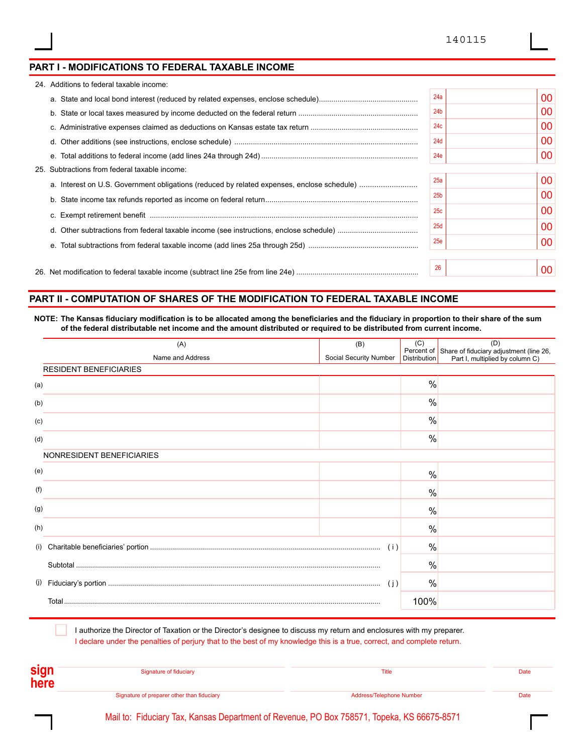## **PART I - MODIFICATIONS TO FEDERAL TAXABLE INCOME**

| 24. Additions to federal taxable income:                                                   |                 |                 |  |  |  |
|--------------------------------------------------------------------------------------------|-----------------|-----------------|--|--|--|
|                                                                                            | 24a             | 00              |  |  |  |
|                                                                                            | 24 <sub>b</sub> | 00              |  |  |  |
|                                                                                            | 24c             | 00              |  |  |  |
|                                                                                            | 24d             | 00              |  |  |  |
|                                                                                            | 24e             | 00              |  |  |  |
| 25. Subtractions from federal taxable income:                                              |                 |                 |  |  |  |
| a. Interest on U.S. Government obligations (reduced by related expenses, enclose schedule) | 25a             | 00 <sup>1</sup> |  |  |  |
|                                                                                            | 25 <sub>b</sub> | 00              |  |  |  |
|                                                                                            | 25c             | 00              |  |  |  |
|                                                                                            | 25d             | 00              |  |  |  |
|                                                                                            | 25e             | 00              |  |  |  |
|                                                                                            |                 |                 |  |  |  |
|                                                                                            | 26              | 00              |  |  |  |

### **PART II - COMPUTATION OF SHARES OF THE MODIFICATION TO FEDERAL TAXABLE INCOME**

**NOTE: The Kansas fiduciary modification is to be allocated among the beneficiaries and the fiduciary in proportion to their share of the sum of the federal distributable net income and the amount distributed or required to be distributed from current income.** 

|     | (A)                           | (B)                    | (C)                 | (D)                                                                                   |
|-----|-------------------------------|------------------------|---------------------|---------------------------------------------------------------------------------------|
|     | Name and Address              | Social Security Number | <b>Distribution</b> | Percent of Share of fiduciary adjustment (line 26,<br>Part I, multiplied by column C) |
|     | <b>RESIDENT BENEFICIARIES</b> |                        |                     |                                                                                       |
| (a) |                               |                        | $\frac{0}{0}$       |                                                                                       |
| (b) |                               |                        | $\%$                |                                                                                       |
| (c) |                               |                        | $\%$                |                                                                                       |
| (d) |                               |                        | $\frac{0}{0}$       |                                                                                       |
|     | NONRESIDENT BENEFICIARIES     |                        |                     |                                                                                       |
| (e) |                               |                        | $\frac{0}{0}$       |                                                                                       |
| (f) |                               |                        | $\frac{0}{0}$       |                                                                                       |
| (g) |                               |                        | $\frac{0}{0}$       |                                                                                       |
| (h) |                               |                        | $\frac{0}{0}$       |                                                                                       |
| (i) |                               | (i)                    | $\%$                |                                                                                       |
|     |                               |                        | $\%$                |                                                                                       |
|     |                               | (i)                    | $\%$                |                                                                                       |
|     |                               |                        | 100%                |                                                                                       |

I authorize the Director of Taxation or the Director's designee to discuss my return and enclosures with my preparer. I declare under the penalties of perjury that to the best of my knowledge this is a true, correct, and complete return.

| <b>sign</b><br>here | Signature of fiduciary                                                                     | Title                           | Date |  |
|---------------------|--------------------------------------------------------------------------------------------|---------------------------------|------|--|
|                     | Signature of preparer other than fiduciary                                                 | <b>Address/Telephone Number</b> | Date |  |
|                     | Mail to: Fiduciary Tax, Kansas Department of Revenue, PO Box 758571, Topeka, KS 66675-8571 |                                 |      |  |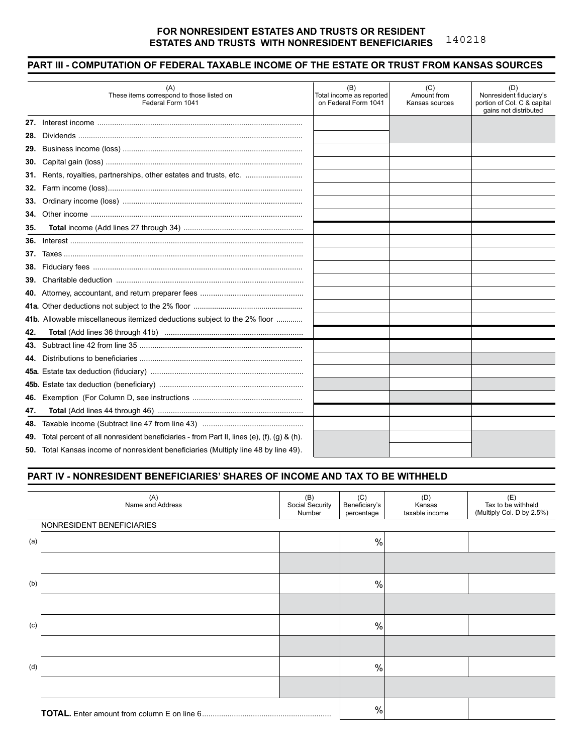#### **ESTATES AND TRUSTS WITH NONRESIDENT BENEFICIARIES FOR NONRESIDENT ESTATES AND TRUSTS OR RESIDENT**  140218

## **PART III - COMPUTATION OF FEDERAL TAXABLE INCOME OF THE ESTATE OR TRUST FROM KANSAS SOURCES**

|     | (A)<br>These items correspond to those listed on<br>Federal Form 1041                         | (B)<br>Total income as reported<br>on Federal Form 1041 | (C)<br>Amount from<br>Kansas sources | (D)<br>Nonresident fiduciary's<br>portion of Col. C & capital<br>gains not distributed |
|-----|-----------------------------------------------------------------------------------------------|---------------------------------------------------------|--------------------------------------|----------------------------------------------------------------------------------------|
|     |                                                                                               |                                                         |                                      |                                                                                        |
| 28. |                                                                                               |                                                         |                                      |                                                                                        |
| 29. |                                                                                               |                                                         |                                      |                                                                                        |
| 30. |                                                                                               |                                                         |                                      |                                                                                        |
|     | 31. Rents, royalties, partnerships, other estates and trusts, etc.                            |                                                         |                                      |                                                                                        |
| 32. |                                                                                               |                                                         |                                      |                                                                                        |
| 33. |                                                                                               |                                                         |                                      |                                                                                        |
| 34. |                                                                                               |                                                         |                                      |                                                                                        |
| 35. |                                                                                               |                                                         |                                      |                                                                                        |
| 36. |                                                                                               |                                                         |                                      |                                                                                        |
|     |                                                                                               |                                                         |                                      |                                                                                        |
|     |                                                                                               |                                                         |                                      |                                                                                        |
| 39. |                                                                                               |                                                         |                                      |                                                                                        |
|     |                                                                                               |                                                         |                                      |                                                                                        |
|     |                                                                                               |                                                         |                                      |                                                                                        |
|     | 41b. Allowable miscellaneous itemized deductions subject to the 2% floor                      |                                                         |                                      |                                                                                        |
| 42. |                                                                                               |                                                         |                                      |                                                                                        |
|     |                                                                                               |                                                         |                                      |                                                                                        |
|     |                                                                                               |                                                         |                                      |                                                                                        |
|     |                                                                                               |                                                         |                                      |                                                                                        |
|     |                                                                                               |                                                         |                                      |                                                                                        |
| 46. |                                                                                               |                                                         |                                      |                                                                                        |
| 47. |                                                                                               |                                                         |                                      |                                                                                        |
| 48. |                                                                                               |                                                         |                                      |                                                                                        |
|     | 49. Total percent of all nonresident beneficiaries - from Part II, lines (e), (f), (g) & (h). |                                                         |                                      |                                                                                        |
|     | 50. Total Kansas income of nonresident beneficiaries (Multiply line 48 by line 49).           |                                                         |                                      |                                                                                        |

### **PART IV - NONRESIDENT BENEFICIARIES' SHARES OF INCOME AND TAX TO BE WITHHELD**

| (A)<br>Name and Address   | (B)<br>Social Security<br>Number | (C)<br>Beneficiary's<br>percentage | (D)<br>Kansas<br>taxable income | (E)<br>Tax to be withheld<br>(Multiply Col. D by 2.5%) |
|---------------------------|----------------------------------|------------------------------------|---------------------------------|--------------------------------------------------------|
| NONRESIDENT BENEFICIARIES |                                  |                                    |                                 |                                                        |
| (a)                       |                                  | $\frac{0}{0}$                      |                                 |                                                        |
|                           |                                  |                                    |                                 |                                                        |
| (b)                       |                                  | %                                  |                                 |                                                        |
|                           |                                  |                                    |                                 |                                                        |
| (c)                       |                                  | $\%$                               |                                 |                                                        |
|                           |                                  |                                    |                                 |                                                        |
| (d)                       |                                  | $\%$                               |                                 |                                                        |
|                           |                                  |                                    |                                 |                                                        |
|                           |                                  | $\%$                               |                                 |                                                        |